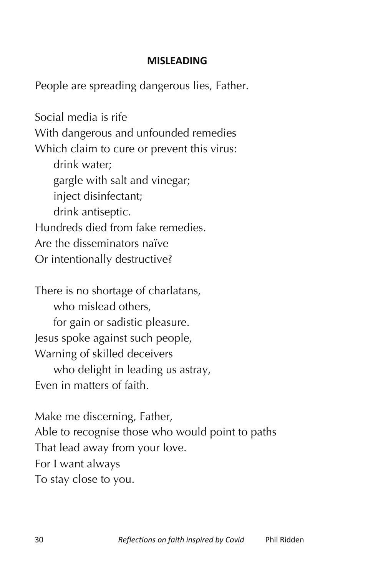## **MISLEADING**

People are spreading dangerous lies, Father.

Social media is rife With dangerous and unfounded remedies Which claim to cure or prevent this virus: drink water; gargle with salt and vinegar; inject disinfectant; drink antiseptic. Hundreds died from fake remedies. Are the disseminators naïve Or intentionally destructive?

There is no shortage of charlatans, who mislead others. for gain or sadistic pleasure. Jesus spoke against such people, Warning of skilled deceivers who delight in leading us astray, Even in matters of faith.

Make me discerning, Father, Able to recognise those who would point to paths That lead away from your love. For I want always To stay close to you.